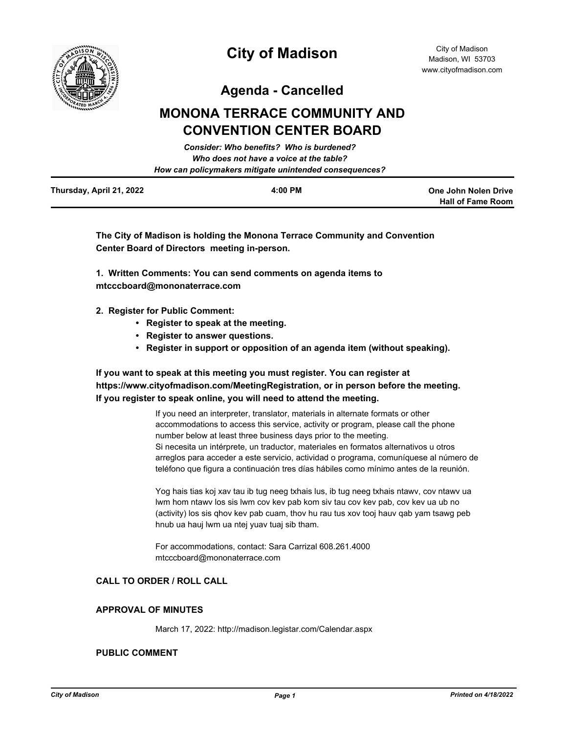

**Hall of Fame Room**

**Agenda - Cancelled**

# **MONONA TERRACE COMMUNITY AND CONVENTION CENTER BOARD**

|                          | Consider: Who benefits? Who is burdened?               |                      |
|--------------------------|--------------------------------------------------------|----------------------|
|                          | Who does not have a voice at the table?                |                      |
|                          | How can policymakers mitigate unintended consequences? |                      |
| Thursday, April 21, 2022 | 4:00 PM                                                | One John Nolen Drive |

**The City of Madison is holding the Monona Terrace Community and Convention Center Board of Directors meeting in-person.**

**1. Written Comments: You can send comments on agenda items to mtcccboard@mononaterrace.com**

- **2. Register for Public Comment:** 
	- **Register to speak at the meeting.**
	- **Register to answer questions.**
	- **Register in support or opposition of an agenda item (without speaking).**

# **If you want to speak at this meeting you must register. You can register at https://www.cityofmadison.com/MeetingRegistration, or in person before the meeting. If you register to speak online, you will need to attend the meeting.**

If you need an interpreter, translator, materials in alternate formats or other accommodations to access this service, activity or program, please call the phone number below at least three business days prior to the meeting. Si necesita un intérprete, un traductor, materiales en formatos alternativos u otros arreglos para acceder a este servicio, actividad o programa, comuníquese al número de teléfono que figura a continuación tres días hábiles como mínimo antes de la reunión.

Yog hais tias koj xav tau ib tug neeg txhais lus, ib tug neeg txhais ntawv, cov ntawv ua lwm hom ntawv los sis lwm cov kev pab kom siv tau cov kev pab, cov kev ua ub no (activity) los sis qhov kev pab cuam, thov hu rau tus xov tooj hauv qab yam tsawg peb hnub ua hauj lwm ua ntej yuav tuaj sib tham.

For accommodations, contact: Sara Carrizal 608.261.4000 mtcccboard@mononaterrace.com

# **CALL TO ORDER / ROLL CALL**

# **APPROVAL OF MINUTES**

March 17, 2022: http://madison.legistar.com/Calendar.aspx

# **PUBLIC COMMENT**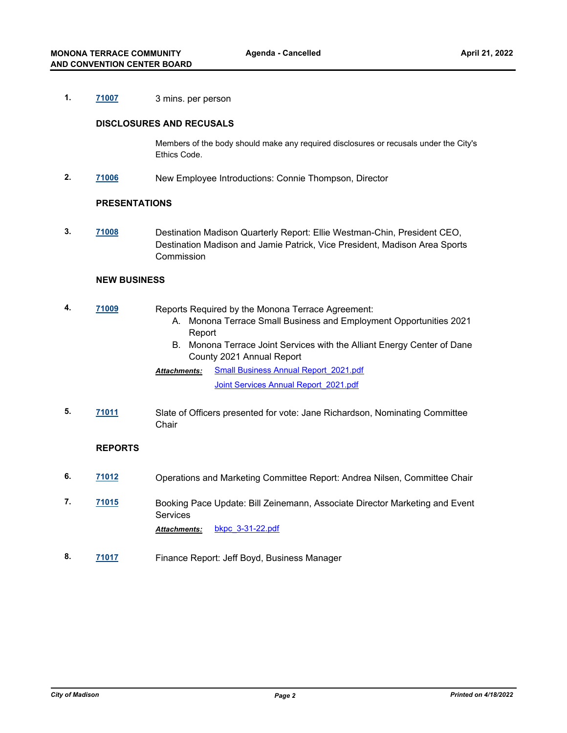# **1. [71007](http://madison.legistar.com/gateway.aspx?m=l&id=/matter.aspx?key=82978)** 3 mins. per person

### **DISCLOSURES AND RECUSALS**

Members of the body should make any required disclosures or recusals under the City's Ethics Code.

**2. [71006](http://madison.legistar.com/gateway.aspx?m=l&id=/matter.aspx?key=82977)** New Employee Introductions: Connie Thompson, Director

#### **PRESENTATIONS**

**3. [71008](http://madison.legistar.com/gateway.aspx?m=l&id=/matter.aspx?key=82979)** Destination Madison Quarterly Report: Ellie Westman-Chin, President CEO, Destination Madison and Jamie Patrick, Vice President, Madison Area Sports Commission

# **NEW BUSINESS**

- **4. [71009](http://madison.legistar.com/gateway.aspx?m=l&id=/matter.aspx?key=82980)** Reports Required by the Monona Terrace Agreement:
	- A. Monona Terrace Small Business and Employment Opportunities 2021 Report
	- B. Monona Terrace Joint Services with the Alliant Energy Center of Dane County 2021 Annual Report
	- [Small Business Annual Report\\_2021.pdf](http://madison.legistar.com/gateway.aspx?M=F&ID=e0a9298d-1545-4dbb-957d-8e4223a3f916.pdf) Joint Services Annual Report 2021.pdf *Attachments:*
- **5. [71011](http://madison.legistar.com/gateway.aspx?m=l&id=/matter.aspx?key=82982)** Slate of Officers presented for vote: Jane Richardson, Nominating Committee **Chair**

## **REPORTS**

- **6. [71012](http://madison.legistar.com/gateway.aspx?m=l&id=/matter.aspx?key=82983)** Operations and Marketing Committee Report: Andrea Nilsen, Committee Chair
- **7. [71015](http://madison.legistar.com/gateway.aspx?m=l&id=/matter.aspx?key=82986)** Booking Pace Update: Bill Zeinemann, Associate Director Marketing and Event Services *Attachments:* [bkpc\\_3-31-22.pdf](http://madison.legistar.com/gateway.aspx?M=F&ID=e8eecc97-e8d9-492c-924f-e6d266428e6f.pdf)
- **8. [71017](http://madison.legistar.com/gateway.aspx?m=l&id=/matter.aspx?key=82988)** Finance Report: Jeff Boyd, Business Manager